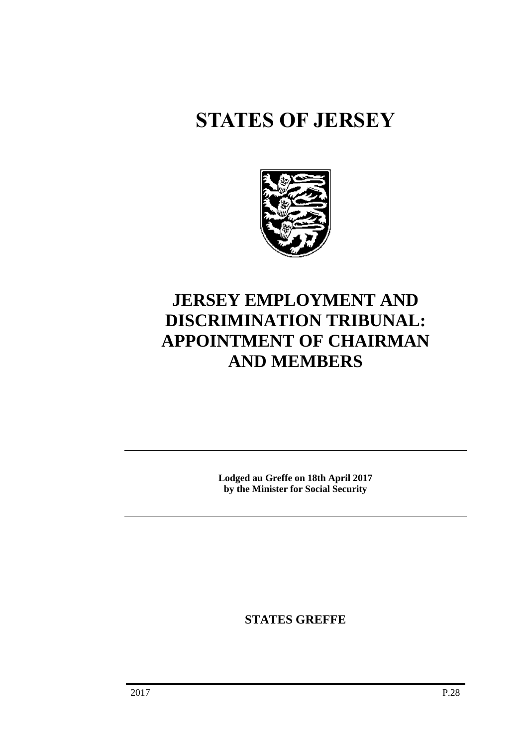# **STATES OF JERSEY**



## **JERSEY EMPLOYMENT AND DISCRIMINATION TRIBUNAL: APPOINTMENT OF CHAIRMAN AND MEMBERS**

**Lodged au Greffe on 18th April 2017 by the Minister for Social Security**

**STATES GREFFE**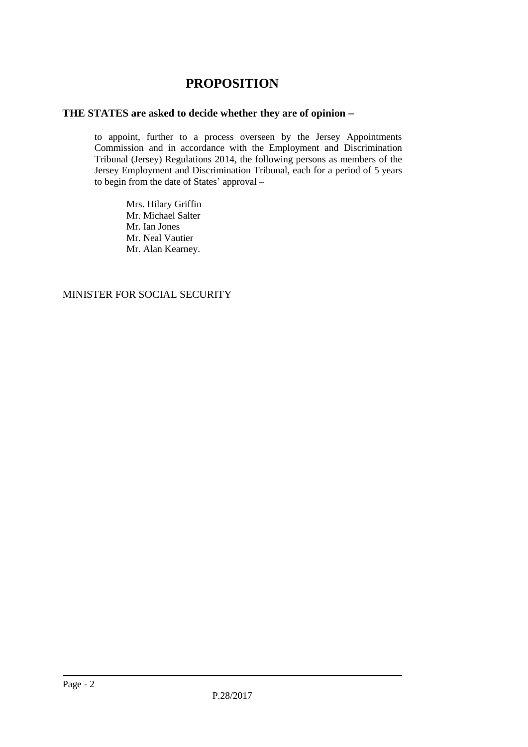### **PROPOSITION**

#### **THE STATES are asked to decide whether they are of opinion**

to appoint, further to a process overseen by the Jersey Appointments Commission and in accordance with the Employment and Discrimination Tribunal (Jersey) Regulations 2014, the following persons as members of the Jersey Employment and Discrimination Tribunal, each for a period of 5 years to begin from the date of States' approval –

> Mrs. Hilary Griffin Mr. Michael Salter Mr. Ian Jones Mr. Neal Vautier Mr. Alan Kearney.

MINISTER FOR SOCIAL SECURITY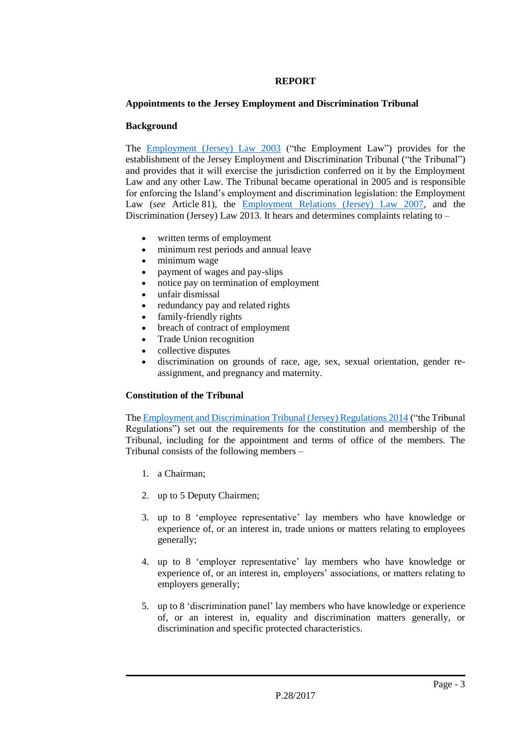#### **REPORT**

#### **Appointments to the Jersey Employment and Discrimination Tribunal**

#### **Background**

The [Employment \(Jersey\) Law 2003](https://www.jerseylaw.je/laws/revised/Pages/05.255.aspx) ("the Employment Law") provides for the establishment of the Jersey Employment and Discrimination Tribunal ("the Tribunal") and provides that it will exercise the jurisdiction conferred on it by the Employment Law and any other Law. The Tribunal became operational in 2005 and is responsible for enforcing the Island's employment and discrimination legislation: the Employment Law (*see* Article 81), the [Employment Relations \(Jersey\) Law 2007,](https://www.jerseylaw.je/laws/revised/Pages/05.260.aspx) and the Discrimination (Jersey) Law 2013. It hears and determines complaints relating to –

- written terms of employment
- minimum rest periods and annual leave
- minimum wage
- payment of wages and pay-slips
- notice pay on termination of employment
- unfair dismissal
- redundancy pay and related rights
- family-friendly rights
- breach of contract of employment
- Trade Union recognition
- collective disputes
- discrimination on grounds of race, age, sex, sexual orientation, gender reassignment, and pregnancy and maternity.

#### **Constitution of the Tribunal**

Th[e Employment and Discrimination Tribunal \(Jersey\) Regulations 2014](https://www.jerseylaw.je/laws/revised/Pages/05.255.70.aspx) ("the Tribunal Regulations") set out the requirements for the constitution and membership of the Tribunal, including for the appointment and terms of office of the members. The Tribunal consists of the following members –

- 1. a Chairman;
- 2. up to 5 Deputy Chairmen;
- 3. up to 8 'employee representative' lay members who have knowledge or experience of, or an interest in, trade unions or matters relating to employees generally;
- 4. up to 8 'employer representative' lay members who have knowledge or experience of, or an interest in, employers' associations, or matters relating to employers generally;
- 5. up to 8 'discrimination panel' lay members who have knowledge or experience of, or an interest in, equality and discrimination matters generally, or discrimination and specific protected characteristics.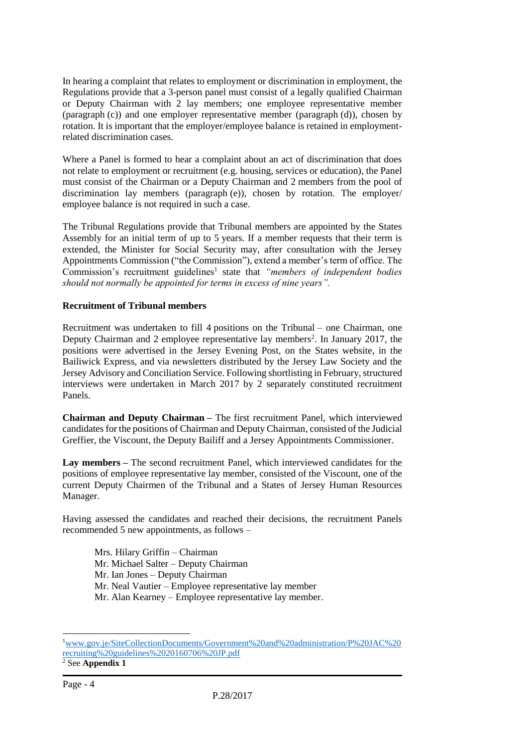In hearing a complaint that relates to employment or discrimination in employment, the Regulations provide that a 3-person panel must consist of a legally qualified Chairman or Deputy Chairman with 2 lay members; one employee representative member (paragraph (c)) and one employer representative member (paragraph (d)), chosen by rotation. It is important that the employer/employee balance is retained in employmentrelated discrimination cases.

Where a Panel is formed to hear a complaint about an act of discrimination that does not relate to employment or recruitment (e.g. housing, services or education), the Panel must consist of the Chairman or a Deputy Chairman and 2 members from the pool of discrimination lay members (paragraph (e)), chosen by rotation. The employer/ employee balance is not required in such a case.

The Tribunal Regulations provide that Tribunal members are appointed by the States Assembly for an initial term of up to 5 years. If a member requests that their term is extended, the Minister for Social Security may, after consultation with the Jersey Appointments Commission ("the Commission"), extend a member's term of office. The Commission's recruitment guidelines<sup>1</sup> state that "members of independent bodies *should not normally be appointed for terms in excess of nine years".*

#### **Recruitment of Tribunal members**

Recruitment was undertaken to fill 4 positions on the Tribunal – one Chairman, one Deputy Chairman and 2 employee representative lay members<sup>2</sup>. In January 2017, the positions were advertised in the Jersey Evening Post, on the States website, in the Bailiwick Express, and via newsletters distributed by the Jersey Law Society and the Jersey Advisory and Conciliation Service. Following shortlisting in February, structured interviews were undertaken in March 2017 by 2 separately constituted recruitment Panels.

**Chairman and Deputy Chairman –** The first recruitment Panel, which interviewed candidates for the positions of Chairman and Deputy Chairman, consisted of the Judicial Greffier, the Viscount, the Deputy Bailiff and a Jersey Appointments Commissioner.

**Lay members –** The second recruitment Panel, which interviewed candidates for the positions of employee representative lay member, consisted of the Viscount, one of the current Deputy Chairmen of the Tribunal and a States of Jersey Human Resources Manager.

Having assessed the candidates and reached their decisions, the recruitment Panels recommended 5 new appointments, as follows –

Mrs. Hilary Griffin – Chairman Mr. Michael Salter – Deputy Chairman Mr. Ian Jones – Deputy Chairman Mr. Neal Vautier – Employee representative lay member Mr. Alan Kearney – Employee representative lay member.

 $\overline{a}$ 

<sup>1</sup>[www.gov.je/SiteCollectionDocuments/Government%20and%20administration/P%20JAC%20](http://www.gov.je/SiteCollectionDocuments/Government%20and%20administration/P%20JAC%20recruiting%20guidelines%2020160706%20JP.pdf) [recruiting%20guidelines%2020160706%20JP.pdf](http://www.gov.je/SiteCollectionDocuments/Government%20and%20administration/P%20JAC%20recruiting%20guidelines%2020160706%20JP.pdf)

<sup>2</sup> See **Appendix 1**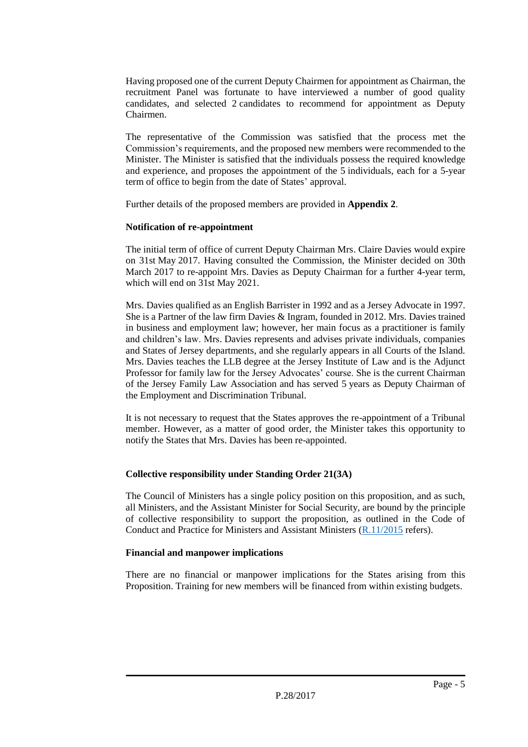Having proposed one of the current Deputy Chairmen for appointment as Chairman, the recruitment Panel was fortunate to have interviewed a number of good quality candidates, and selected 2 candidates to recommend for appointment as Deputy Chairmen.

The representative of the Commission was satisfied that the process met the Commission's requirements, and the proposed new members were recommended to the Minister. The Minister is satisfied that the individuals possess the required knowledge and experience, and proposes the appointment of the 5 individuals, each for a 5-year term of office to begin from the date of States' approval.

Further details of the proposed members are provided in **Appendix 2**.

#### **Notification of re-appointment**

The initial term of office of current Deputy Chairman Mrs. Claire Davies would expire on 31st May 2017. Having consulted the Commission, the Minister decided on 30th March 2017 to re-appoint Mrs. Davies as Deputy Chairman for a further 4-year term, which will end on 31st May 2021.

Mrs. Davies qualified as an English Barrister in 1992 and as a Jersey Advocate in 1997. She is a Partner of the law firm Davies & Ingram, founded in 2012. Mrs. Davies trained in business and employment law; however, her main focus as a practitioner is family and children's law. Mrs. Davies represents and advises private individuals, companies and States of Jersey departments, and she regularly appears in all Courts of the Island. Mrs. Davies teaches the LLB degree at the Jersey Institute of Law and is the Adjunct Professor for family law for the Jersey Advocates' course. She is the current Chairman of the Jersey Family Law Association and has served 5 years as Deputy Chairman of the Employment and Discrimination Tribunal.

It is not necessary to request that the States approves the re-appointment of a Tribunal member. However, as a matter of good order, the Minister takes this opportunity to notify the States that Mrs. Davies has been re-appointed.

#### **Collective responsibility under Standing Order 21(3A)**

The Council of Ministers has a single policy position on this proposition, and as such, all Ministers, and the Assistant Minister for Social Security, are bound by the principle of collective responsibility to support the proposition, as outlined in the Code of Conduct and Practice for Ministers and Assistant Ministers [\(R.11/2015](http://www.statesassembly.gov.je/AssemblyReports/2015/R.11-2015.pdf) refers).

#### **Financial and manpower implications**

There are no financial or manpower implications for the States arising from this Proposition. Training for new members will be financed from within existing budgets.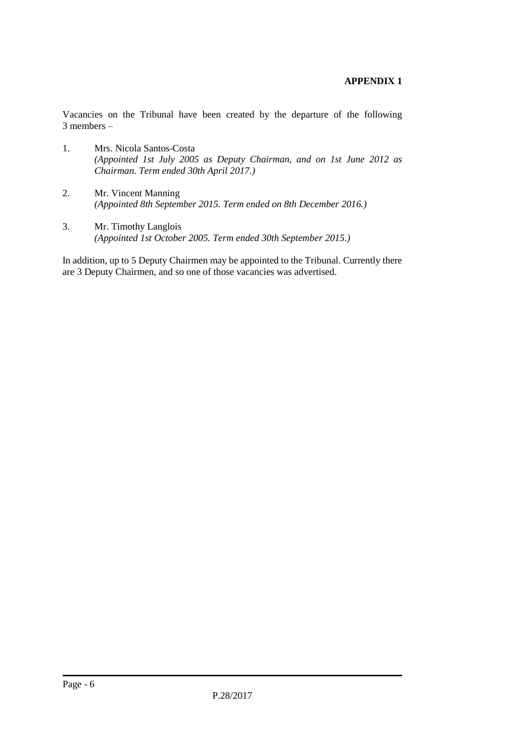#### **APPENDIX 1**

Vacancies on the Tribunal have been created by the departure of the following 3 members –

- 1. Mrs. Nicola Santos-Costa *(Appointed 1st July 2005 as Deputy Chairman, and on 1st June 2012 as Chairman. Term ended 30th April 2017.)*
- 2. Mr. Vincent Manning *(Appointed 8th September 2015. Term ended on 8th December 2016.)*
- 3. Mr. Timothy Langlois *(Appointed 1st October 2005. Term ended 30th September 2015.)*

In addition, up to 5 Deputy Chairmen may be appointed to the Tribunal. Currently there are 3 Deputy Chairmen, and so one of those vacancies was advertised.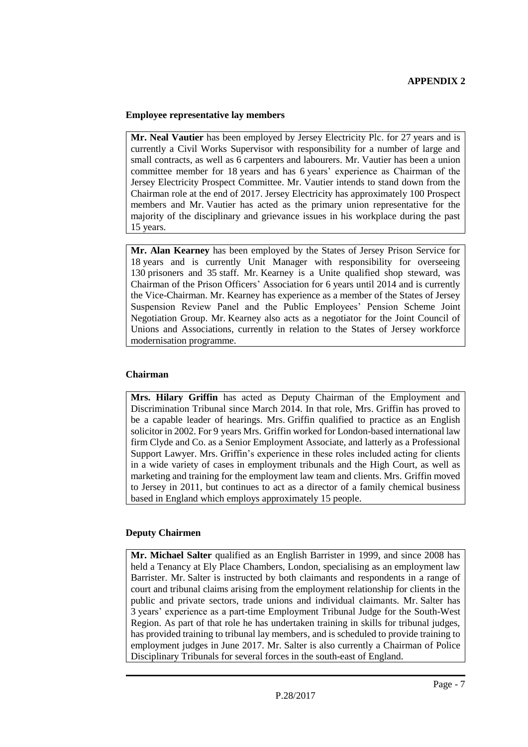#### **Employee representative lay members**

**Mr. Neal Vautier** has been employed by Jersey Electricity Plc. for 27 years and is currently a Civil Works Supervisor with responsibility for a number of large and small contracts, as well as 6 carpenters and labourers. Mr. Vautier has been a union committee member for 18 years and has 6 years' experience as Chairman of the Jersey Electricity Prospect Committee. Mr. Vautier intends to stand down from the Chairman role at the end of 2017. Jersey Electricity has approximately 100 Prospect members and Mr. Vautier has acted as the primary union representative for the majority of the disciplinary and grievance issues in his workplace during the past 15 years.

**Mr. Alan Kearney** has been employed by the States of Jersey Prison Service for 18 years and is currently Unit Manager with responsibility for overseeing 130 prisoners and 35 staff. Mr. Kearney is a Unite qualified shop steward, was Chairman of the Prison Officers' Association for 6 years until 2014 and is currently the Vice-Chairman. Mr. Kearney has experience as a member of the States of Jersey Suspension Review Panel and the Public Employees' Pension Scheme Joint Negotiation Group. Mr. Kearney also acts as a negotiator for the Joint Council of Unions and Associations, currently in relation to the States of Jersey workforce modernisation programme.

#### **Chairman**

**Mrs. Hilary Griffin** has acted as Deputy Chairman of the Employment and Discrimination Tribunal since March 2014. In that role, Mrs. Griffin has proved to be a capable leader of hearings. Mrs. Griffin qualified to practice as an English solicitor in 2002. For 9 years Mrs. Griffin worked for London-based international law firm Clyde and Co. as a Senior Employment Associate, and latterly as a Professional Support Lawyer. Mrs. Griffin's experience in these roles included acting for clients in a wide variety of cases in employment tribunals and the High Court, as well as marketing and training for the employment law team and clients. Mrs. Griffin moved to Jersey in 2011, but continues to act as a director of a family chemical business based in England which employs approximately 15 people.

#### **Deputy Chairmen**

**Mr. Michael Salter** qualified as an English Barrister in 1999, and since 2008 has held a Tenancy at Ely Place Chambers, London, specialising as an employment law Barrister. Mr. Salter is instructed by both claimants and respondents in a range of court and tribunal claims arising from the employment relationship for clients in the public and private sectors, trade unions and individual claimants. Mr. Salter has 3 years' experience as a part-time Employment Tribunal Judge for the South-West Region. As part of that role he has undertaken training in skills for tribunal judges, has provided training to tribunal lay members, and is scheduled to provide training to employment judges in June 2017. Mr. Salter is also currently a Chairman of Police Disciplinary Tribunals for several forces in the south-east of England.